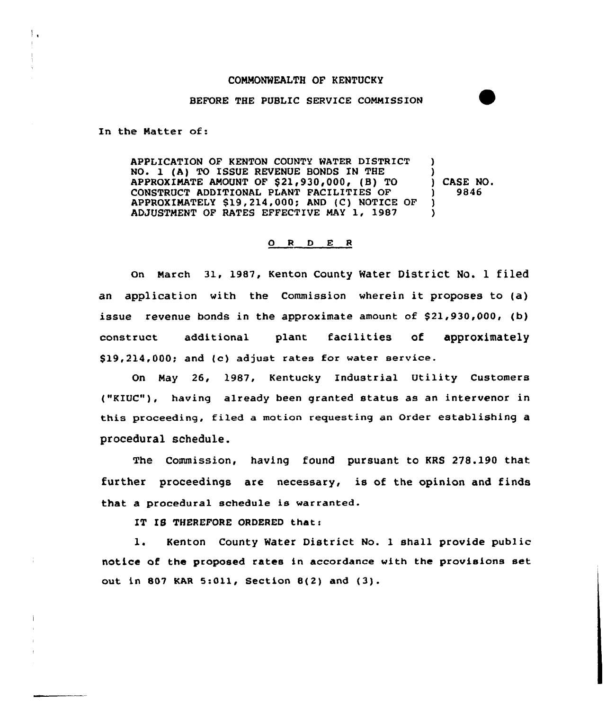### COMMONWEALTH OF KENTUCKY

### BEFORE THE PUBLIC SERVICE COMMISSION

In the Natter of:

 $\mathbf{L}$ 

APPLICATION OF KENTON COUNTY WATER DISTRICT NO. 1 (A) TO ISSUE REVENUE BONDS IN THE APPROXIMATE AMOUNT OF \$21,930,000, (B) TO CONSTRUCT ADDITIONAL PLANT FACILITIES OF APPRoxIMATELY S19,214,000; AND (c) N0TIcE QF ADJUSTMENT OF RATES EFFECTIVE MAY 1, 1987 ) ) ) CASE NO. ) 9846 ) )

#### Q R D E R

On Narch 31, 1987, Kenton County Water District No. l filed an application with the Commission wherein it proposes to (a) issue revenue bonds in the approximate amount of  $$21,930,000$ , (b) construct additional plant facilities of approximately \$ 19,214,000; and (c) adjust rates for water service.

On May 26, 1987, Kentucky Industrial Utility Customers ("KIUC"), having already been granted status as an intervenor in this proceeding, filed a motion requesting an Order establishing a procedural schedule.

The Commission, having found pursuant to KRS 278.190 that further proceedings are necessary, is of the opinion and finds that a procedural schedule is warranted.

IT IS THEREFORE ORDERED that:

1. Kenton County Water District No. <sup>1</sup> shall provide public notice of the proposed rates in accordance with the provisions set out in 807 KAR 5:011, Section 8(2) and  $(3)$ .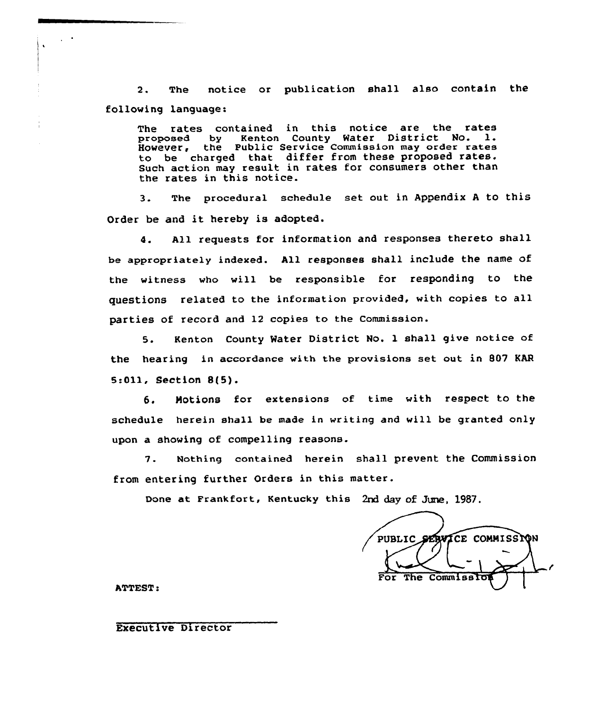2. The notice or publication shall also contain the following language:

The rates contained in this notice are the rates proposed by Kenton County Water District No. l. However, the Public Service Commission may order rates to be charged that differ from these proposed rates. Such action may result in rates for consumers other than the rates in this notice.

3. The procedural schedule set out in Appendix <sup>A</sup> to this Order be and it hereby is adopted.

4. All requests for information and responses thereto shall be appropriately indexed. All responses shall include the name of the witness who will be responsible for responding to the questions related to the information provided, with copies to all parties of record and 12 copies to the Commission.

5. Kenton County Water District No. 1 shall give notice of the hearing in accordance with the provisions set out in 807 KAR  $5:011$ , Section  $8(5)$ .

6. Notions for extensions of time with respect to the schedule herein shall be made in writing and will be granted only upon a showing of compelling reasons.

7. Ncthing contained herein shall prevent the Commission from entering further Orders in this matter.

Done at Frankfort, Kentucky this 2nd day of June, 1987.

PUBLIC SERVICE COMMISSION For The Commiss

ATTEST:

### Executive Director